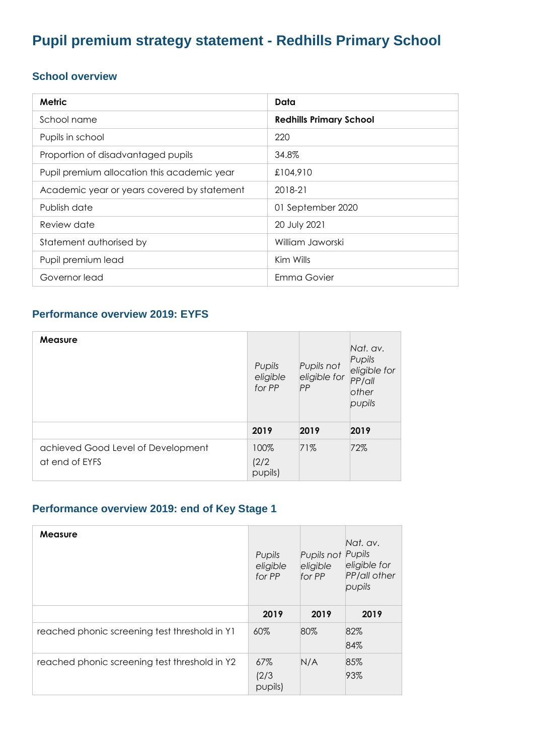# **Pupil premium strategy statement - Redhills Primary School**

#### **School overview**

| <b>Metric</b>                               | Data                           |
|---------------------------------------------|--------------------------------|
| School name                                 | <b>Redhills Primary School</b> |
| Pupils in school                            | 220                            |
| Proportion of disadvantaged pupils          | 34.8%                          |
| Pupil premium allocation this academic year | £104,910                       |
| Academic year or years covered by statement | 2018-21                        |
| Publish date                                | 01 September 2020              |
| Review date                                 | 20 July 2021                   |
| Statement authorised by                     | William Jaworski               |
| Pupil premium lead                          | Kim Wills                      |
| Governor lead                               | Emma Govier                    |

#### **Performance overview 2019: EYFS**

| <b>Measure</b>                                       | Pupils<br>eligible<br>for PP | Pupils not<br>eligible for<br>PP | Nat. av.<br>Pupils<br>eligible for<br>PP/QII<br>other<br>pupils |
|------------------------------------------------------|------------------------------|----------------------------------|-----------------------------------------------------------------|
|                                                      | 2019                         | 2019                             | 2019                                                            |
| achieved Good Level of Development<br>at end of EYFS | 100%<br>(2/2)<br>pupils)     | 71%                              | 72%                                                             |

### **Performance overview 2019: end of Key Stage 1**

| <b>Measure</b>                                | Pupils<br>eligible<br>for PP | Pupils not<br>eligible<br>for PP | Nat. av.<br>Pupils<br>eligible for<br>PP/all other<br>pupils |
|-----------------------------------------------|------------------------------|----------------------------------|--------------------------------------------------------------|
|                                               | 2019                         | 2019                             | 2019                                                         |
| reached phonic screening test threshold in Y1 | 60%                          | 80%                              | 82%<br>84%                                                   |
| reached phonic screening test threshold in Y2 | 67%<br>(2/3)<br>pupils)      | N/A                              | 85%<br>93%                                                   |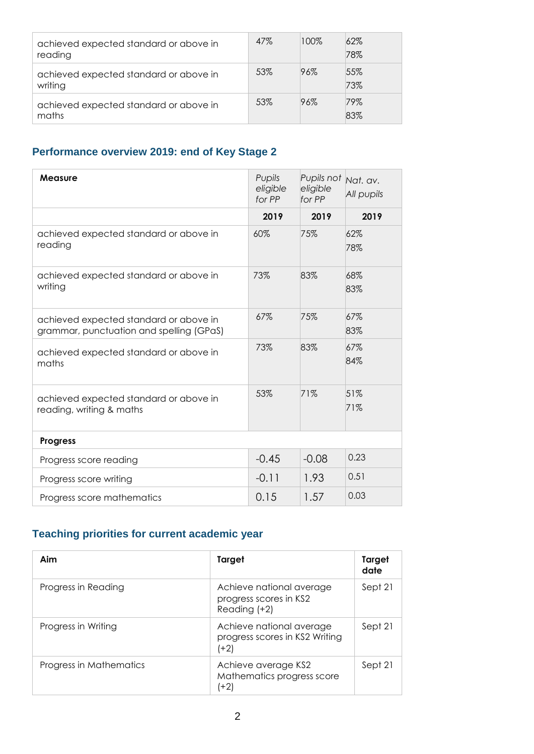| achieved expected standard or above in<br>reading | 47% | 100% | 62%<br>78% |
|---------------------------------------------------|-----|------|------------|
| achieved expected standard or above in<br>writing | 53% | 96%  | 55%<br>73% |
| achieved expected standard or above in<br>maths   | 53% | 96%  | 79%<br>83% |

### **Performance overview 2019: end of Key Stage 2**

| Measure                                                                            | Pupils<br>eligible<br>for PP | Pupils not Nat. av.<br>eligible<br>for PP | All pupils |
|------------------------------------------------------------------------------------|------------------------------|-------------------------------------------|------------|
|                                                                                    | 2019                         | 2019                                      | 2019       |
| achieved expected standard or above in<br>reading                                  | 60%                          | 75%                                       | 62%<br>78% |
| achieved expected standard or above in<br>writing                                  | 73%                          | 83%                                       | 68%<br>83% |
| achieved expected standard or above in<br>grammar, punctuation and spelling (GPaS) | 67%                          | 75%                                       | 67%<br>83% |
| achieved expected standard or above in<br>maths                                    | 73%                          | 83%                                       | 67%<br>84% |
| achieved expected standard or above in<br>reading, writing & maths                 | 53%                          | 71%                                       | 51%<br>71% |
| <b>Progress</b>                                                                    |                              |                                           |            |
| Progress score reading                                                             | $-0.45$                      | $-0.08$                                   | 0.23       |
| Progress score writing                                                             | $-0.11$                      | 1.93                                      | 0.51       |
| Progress score mathematics                                                         | 0.15                         | 1.57                                      | 0.03       |

### **Teaching priorities for current academic year**

| Aim                     | Target                                                             | Target<br>date |
|-------------------------|--------------------------------------------------------------------|----------------|
| Progress in Reading     | Achieve national average<br>progress scores in KS2<br>Reading (+2) | Sept 21        |
| Progress in Writing     | Achieve national average<br>progress scores in KS2 Writing<br>(+2) | Sept 21        |
| Progress in Mathematics | Achieve average KS2<br>Mathematics progress score<br>(+2)          | Sept 21        |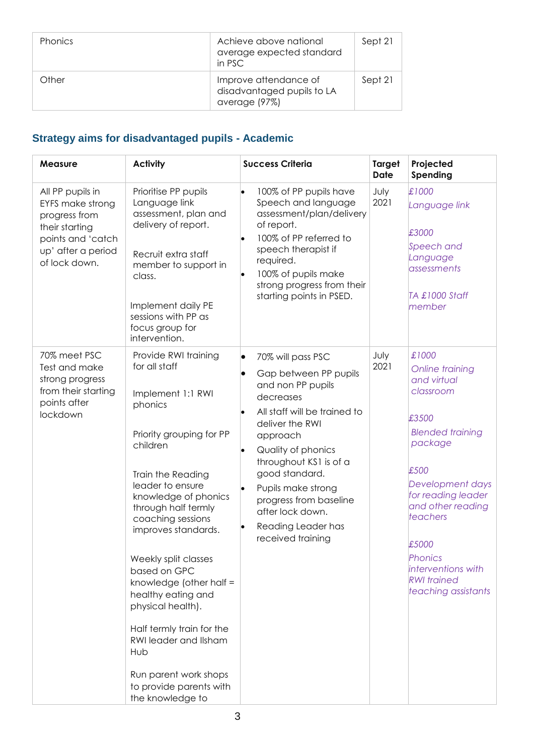| <b>Phonics</b> | Achieve above national<br>average expected standard<br>in PSC        | Sept 21 |
|----------------|----------------------------------------------------------------------|---------|
| Other          | Improve attendance of<br>disadvantaged pupils to LA<br>average (97%) | Sept 21 |

# **Strategy aims for disadvantaged pupils - Academic**

| <b>Measure</b>                                                                                                                             | <b>Activity</b>                                                                                                                                                                                                                                                                                                                                                                                                                                                                                      | <b>Success Criteria</b>                                                                                                                                                                                                                                                                                                                                      | <b>Target</b><br><b>Date</b> | Projected<br>Spending                                                                                                                                                                                                                                                         |
|--------------------------------------------------------------------------------------------------------------------------------------------|------------------------------------------------------------------------------------------------------------------------------------------------------------------------------------------------------------------------------------------------------------------------------------------------------------------------------------------------------------------------------------------------------------------------------------------------------------------------------------------------------|--------------------------------------------------------------------------------------------------------------------------------------------------------------------------------------------------------------------------------------------------------------------------------------------------------------------------------------------------------------|------------------------------|-------------------------------------------------------------------------------------------------------------------------------------------------------------------------------------------------------------------------------------------------------------------------------|
| All PP pupils in<br><b>EYFS make strong</b><br>progress from<br>their starting<br>points and 'catch<br>up' after a period<br>of lock down. | Prioritise PP pupils<br>Language link<br>assessment, plan and<br>delivery of report.<br>Recruit extra staff<br>member to support in<br>class.<br>Implement daily PE<br>sessions with PP as<br>focus group for<br>intervention.                                                                                                                                                                                                                                                                       | 100% of PP pupils have<br>$\bullet$<br>Speech and language<br>assessment/plan/delivery<br>of report.<br>100% of PP referred to<br>speech therapist if<br>required.<br>100% of pupils make<br>strong progress from their<br>starting points in PSED.                                                                                                          | July<br>2021                 | £1000<br>Language link<br>£3000<br>Speech and<br>Language<br>assessments<br>TA £1000 Staff<br>member                                                                                                                                                                          |
| 70% meet PSC<br>Test and make<br>strong progress<br>from their starting<br>points after<br>lockdown                                        | Provide RWI training<br>for all staff<br>Implement 1:1 RWI<br>phonics<br>Priority grouping for PP<br>children<br>Train the Reading<br>leader to ensure<br>knowledge of phonics<br>through half termly<br>coaching sessions<br>improves standards.<br>Weekly split classes<br>based on GPC<br>knowledge (other half =<br>healthy eating and<br>physical health).<br>Half termly train for the<br>RWI leader and Ilsham<br>Hub<br>Run parent work shops<br>to provide parents with<br>the knowledge to | 70% will pass PSC<br>$\bullet$<br>Gap between PP pupils<br>$\bullet$<br>and non PP pupils<br>decreases<br>All staff will be trained to<br>deliver the RWI<br>approach<br>Quality of phonics<br>I.<br>throughout KS1 is of a<br>good standard.<br>Pupils make strong<br>progress from baseline<br>after lock down.<br>Reading Leader has<br>received training | July<br>2021                 | £1000<br>Online training<br>and virtual<br>classroom<br>£3500<br><b>Blended training</b><br>package<br>£500<br>Development days<br>for reading leader<br>and other reading<br>teachers<br>£5000<br>Phonics<br>interventions with<br><b>RWI</b> trained<br>teaching assistants |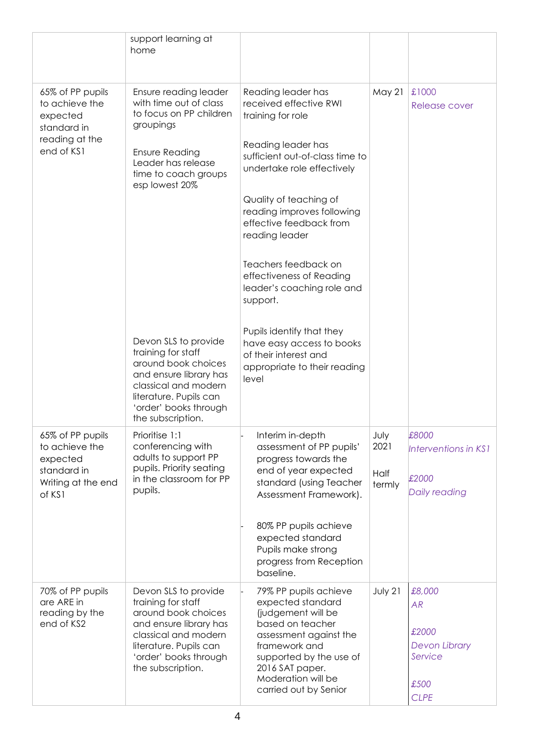|                                                                                               | support learning at<br>home                                                                                                                                                                                                                                                                                                                                                     |                                                                                                                                                                                                                                                                                                                                                                                                                                                                                         |                                |                                                                                 |
|-----------------------------------------------------------------------------------------------|---------------------------------------------------------------------------------------------------------------------------------------------------------------------------------------------------------------------------------------------------------------------------------------------------------------------------------------------------------------------------------|-----------------------------------------------------------------------------------------------------------------------------------------------------------------------------------------------------------------------------------------------------------------------------------------------------------------------------------------------------------------------------------------------------------------------------------------------------------------------------------------|--------------------------------|---------------------------------------------------------------------------------|
| 65% of PP pupils<br>to achieve the<br>expected<br>standard in<br>reading at the<br>end of KS1 | Ensure reading leader<br>with time out of class<br>to focus on PP children<br>groupings<br><b>Ensure Reading</b><br>Leader has release<br>time to coach groups<br>esp lowest 20%<br>Devon SLS to provide<br>training for staff<br>around book choices<br>and ensure library has<br>classical and modern<br>literature. Pupils can<br>'order' books through<br>the subscription. | Reading leader has<br>received effective RWI<br>training for role<br>Reading leader has<br>sufficient out-of-class time to<br>undertake role effectively<br>Quality of teaching of<br>reading improves following<br>effective feedback from<br>reading leader<br>Teachers feedback on<br>effectiveness of Reading<br>leader's coaching role and<br>support.<br>Pupils identify that they<br>have easy access to books<br>of their interest and<br>appropriate to their reading<br>level | <b>May 21</b>                  | £1000<br><b>Release cover</b>                                                   |
| 65% of PP pupils<br>to achieve the<br>expected<br>standard in<br>Writing at the end<br>of KS1 | Prioritise 1:1<br>conferencing with<br>adults to support PP<br>pupils. Priority seating<br>in the classroom for PP<br>pupils.                                                                                                                                                                                                                                                   | Interim in-depth<br>assessment of PP pupils'<br>progress towards the<br>end of year expected<br>standard (using Teacher<br>Assessment Framework).<br>80% PP pupils achieve<br>expected standard<br>Pupils make strong<br>progress from Reception<br>baseline.                                                                                                                                                                                                                           | July<br>2021<br>Half<br>termly | £8000<br>Interventions in KS1<br>£2000<br>Daily reading                         |
| 70% of PP pupils<br>are ARE in<br>reading by the<br>end of KS2                                | Devon SLS to provide<br>training for staff<br>around book choices<br>and ensure library has<br>classical and modern<br>literature. Pupils can<br>'order' books through<br>the subscription.                                                                                                                                                                                     | 79% PP pupils achieve<br>expected standard<br>(judgement will be<br>based on teacher<br>assessment against the<br>framework and<br>supported by the use of<br>2016 SAT paper.<br>Moderation will be<br>carried out by Senior                                                                                                                                                                                                                                                            | July 21                        | £8,000<br>AR<br>£2000<br><b>Devon Library</b><br>Service<br>£500<br><b>CLPE</b> |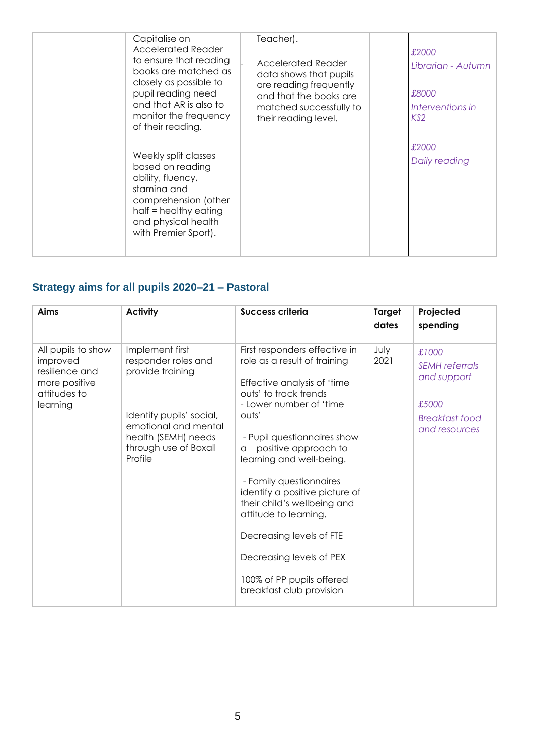| Capitalise on<br><b>Accelerated Reader</b><br>to ensure that reading<br>books are matched as<br>closely as possible to<br>pupil reading need<br>and that AR is also to<br>monitor the frequency<br>of their reading. | Teacher).<br><b>Accelerated Reader</b><br>data shows that pupils<br>are reading frequently<br>and that the books are<br>matched successfully to<br>their reading level. | £2000<br>Librarian - Autumn<br>£8000<br>Interventions in<br>KS <sub>2</sub> |
|----------------------------------------------------------------------------------------------------------------------------------------------------------------------------------------------------------------------|-------------------------------------------------------------------------------------------------------------------------------------------------------------------------|-----------------------------------------------------------------------------|
| Weekly split classes<br>based on reading<br>ability, fluency,<br>stamina and<br>comprehension (other<br>half = healthy eating<br>and physical health<br>with Premier Sport).                                         |                                                                                                                                                                         | £2000<br>Daily reading                                                      |

### **Strategy aims for all pupils 2020–21 – Pastoral**

| Aims                                                                                          | <b>Activity</b>                                                                                                                                                           | <b>Success criteria</b>                                                                                                                                                                                                                                                                                                                                                                                                                                                                 | Target<br>dates | Projected<br>spending                                                                     |
|-----------------------------------------------------------------------------------------------|---------------------------------------------------------------------------------------------------------------------------------------------------------------------------|-----------------------------------------------------------------------------------------------------------------------------------------------------------------------------------------------------------------------------------------------------------------------------------------------------------------------------------------------------------------------------------------------------------------------------------------------------------------------------------------|-----------------|-------------------------------------------------------------------------------------------|
| All pupils to show<br>improved<br>resilience and<br>more positive<br>attitudes to<br>learning | Implement first<br>responder roles and<br>provide training<br>Identify pupils' social,<br>emotional and mental<br>health (SEMH) needs<br>through use of Boxall<br>Profile | First responders effective in<br>role as a result of training<br>Effective analysis of 'time<br>outs' to track trends<br>- Lower number of 'time<br>outs'<br>- Pupil questionnaires show<br>positive approach to<br>a<br>learning and well-being.<br>- Family questionnaires<br>identify a positive picture of<br>their child's wellbeing and<br>attitude to learning.<br>Decreasing levels of FTE<br>Decreasing levels of PEX<br>100% of PP pupils offered<br>breakfast club provision | July<br>2021    | £1000<br><b>SEMH</b> referrals<br>and support<br>£5000<br>Breakfast food<br>and resources |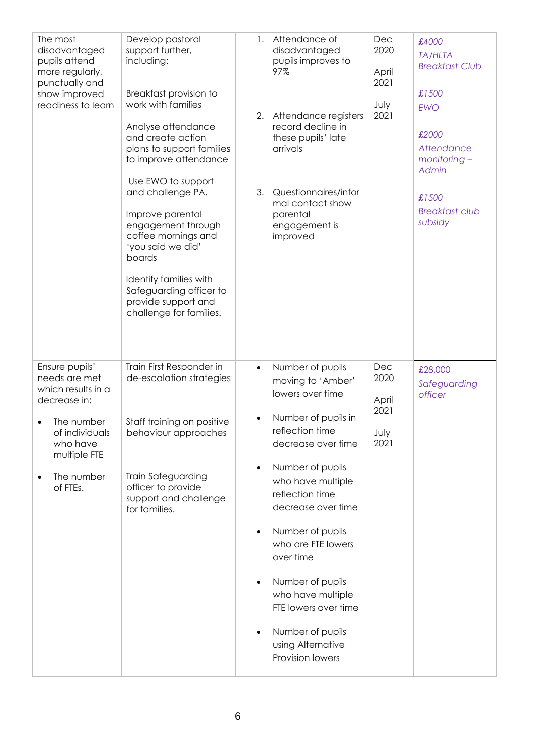| The most<br>disadvantaged<br>pupils attend<br>more regularly,<br>punctually and<br>show improved<br>readiness to learn                                      | Develop pastoral<br>support further,<br>including:<br>Breakfast provision to<br>work with families<br>Analyse attendance<br>and create action<br>plans to support families<br>to improve attendance<br>Use EWO to support<br>and challenge PA.<br>Improve parental<br>engagement through<br>coffee mornings and<br>'you said we did'<br>boards<br>Identify families with<br>Safeguarding officer to<br>provide support and<br>challenge for families. | 1.<br>3.                                                      | Attendance of<br>disadvantaged<br>pupils improves to<br>97%<br>2. Attendance registers<br>record decline in<br>these pupils' late<br>arrivals<br>Questionnaires/infor<br>mal contact show<br>parental<br>engagement is<br>improved                                                                                                                                                               | Dec<br>2020<br>April<br>2021<br>July<br>2021 | £4000<br><b>TA/HLTA</b><br><b>Breakfast Club</b><br>£1500<br><b>EWO</b><br>£2000<br>Attendance<br>$monitoring -$<br>Admin<br>£1500<br><b>Breakfast club</b><br>subsidy |
|-------------------------------------------------------------------------------------------------------------------------------------------------------------|-------------------------------------------------------------------------------------------------------------------------------------------------------------------------------------------------------------------------------------------------------------------------------------------------------------------------------------------------------------------------------------------------------------------------------------------------------|---------------------------------------------------------------|--------------------------------------------------------------------------------------------------------------------------------------------------------------------------------------------------------------------------------------------------------------------------------------------------------------------------------------------------------------------------------------------------|----------------------------------------------|------------------------------------------------------------------------------------------------------------------------------------------------------------------------|
| Ensure pupils'<br>needs are met<br>which results in a<br>decrease in:<br>The number<br>of individuals<br>who have<br>multiple FTE<br>The number<br>of FTEs. | Train First Responder in<br>de-escalation strategies<br>Staff training on positive<br>behaviour approaches<br><b>Train Safeguarding</b><br>officer to provide<br>support and challenge<br>for families.                                                                                                                                                                                                                                               | $\bullet$<br>$\bullet$<br>$\bullet$<br>$\bullet$<br>$\bullet$ | Number of pupils<br>moving to 'Amber'<br>lowers over time<br>Number of pupils in<br>reflection time<br>decrease over time<br>Number of pupils<br>who have multiple<br>reflection time<br>decrease over time<br>Number of pupils<br>who are FTE lowers<br>over time<br>Number of pupils<br>who have multiple<br>FTE lowers over time<br>Number of pupils<br>using Alternative<br>Provision lowers | Dec<br>2020<br>April<br>2021<br>July<br>2021 | £28,000<br>Safeguarding<br>officer                                                                                                                                     |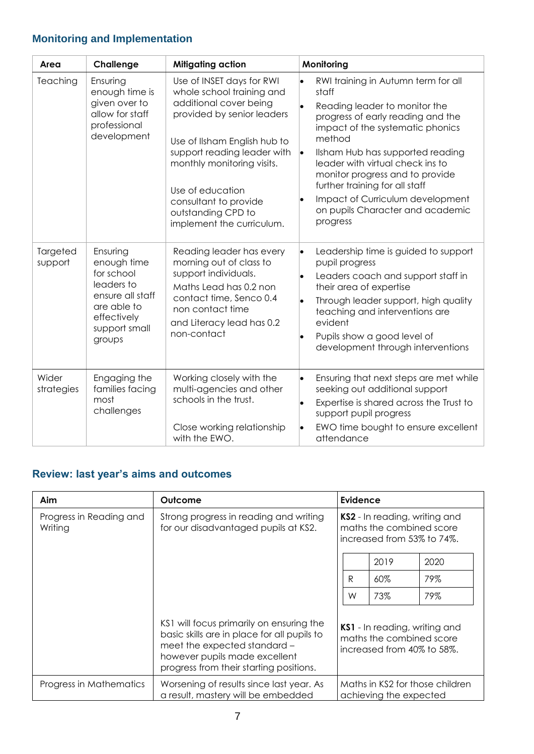# **Monitoring and Implementation**

| Area                | Challenge                                                                                                                        | <b>Mitigating action</b>                                                                                                                                                                                                                                                                                    | Monitoring                                                                                                                                                                                                                                                                                                                                                                                        |
|---------------------|----------------------------------------------------------------------------------------------------------------------------------|-------------------------------------------------------------------------------------------------------------------------------------------------------------------------------------------------------------------------------------------------------------------------------------------------------------|---------------------------------------------------------------------------------------------------------------------------------------------------------------------------------------------------------------------------------------------------------------------------------------------------------------------------------------------------------------------------------------------------|
| Teaching            | Ensuring<br>enough time is<br>given over to<br>allow for staff<br>professional<br>development                                    | Use of INSET days for RWI<br>whole school training and<br>additional cover being<br>provided by senior leaders<br>Use of Ilsham English hub to<br>support reading leader with<br>monthly monitoring visits.<br>Use of education<br>consultant to provide<br>outstanding CPD to<br>implement the curriculum. | RWI training in Autumn term for all<br>staff<br>Reading leader to monitor the<br>progress of early reading and the<br>impact of the systematic phonics<br>method<br>Ilsham Hub has supported reading<br>leader with virtual check ins to<br>monitor progress and to provide<br>further training for all staff<br>Impact of Curriculum development<br>on pupils Character and academic<br>progress |
| Targeted<br>support | Ensuring<br>enough time<br>for school<br>leaders to<br>ensure all staff<br>are able to<br>effectively<br>support small<br>groups | Reading leader has every<br>morning out of class to<br>support individuals.<br>Maths Lead has 0.2 non<br>contact time, Senco 0.4<br>non contact time<br>and Literacy lead has 0.2<br>non-contact                                                                                                            | Leadership time is guided to support<br>$\bullet$<br>pupil progress<br>Leaders coach and support staff in<br>l.<br>their area of expertise<br>Through leader support, high quality<br>teaching and interventions are<br>evident<br>Pupils show a good level of<br>lo<br>development through interventions                                                                                         |
| Wider<br>strategies | Engaging the<br>families facing<br>most<br>challenges                                                                            | Working closely with the<br>multi-agencies and other<br>schools in the trust.<br>Close working relationship<br>with the EWO.                                                                                                                                                                                | Ensuring that next steps are met while<br>$\bullet$<br>seeking out additional support<br>Expertise is shared across the Trust to<br>support pupil progress<br>EWO time bought to ensure excellent<br>attendance                                                                                                                                                                                   |

### **Review: last year's aims and outcomes**

| Aim                                | Outcome                                                                                                                                                                                             |  | <b>Evidence</b>                                                                                |        |      |  |
|------------------------------------|-----------------------------------------------------------------------------------------------------------------------------------------------------------------------------------------------------|--|------------------------------------------------------------------------------------------------|--------|------|--|
| Progress in Reading and<br>Writing | Strong progress in reading and writing<br>for our disadvantaged pupils at KS2.                                                                                                                      |  | <b>KS2</b> - In reading, writing and<br>maths the combined score<br>increased from 53% to 74%. |        |      |  |
|                                    |                                                                                                                                                                                                     |  |                                                                                                | 2019   | 2020 |  |
|                                    |                                                                                                                                                                                                     |  | R                                                                                              | $60\%$ | 79%  |  |
|                                    |                                                                                                                                                                                                     |  | W                                                                                              | 73%    | 79%  |  |
|                                    | KS1 will focus primarily on ensuring the<br>basic skills are in place for all pupils to<br>meet the expected standard -<br>however pupils made excellent<br>progress from their starting positions. |  | KS1 - In reading, writing and<br>maths the combined score<br>increased from 40% to 58%.        |        |      |  |
| Progress in Mathematics            | Worsening of results since last year. As<br>a result, mastery will be embedded                                                                                                                      |  | Maths in KS2 for those children<br>achieving the expected                                      |        |      |  |